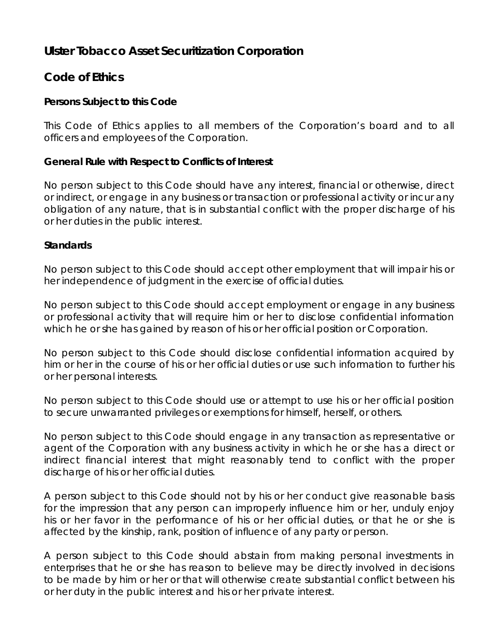# **Ulster Tobacco Asset Securitization Corporation**

# **Code of Ethics**

### **Persons Subject to this Code**

This Code of Ethics applies to all members of the Corporation's board and to all officers and employees of the Corporation.

#### **General Rule with Respect to Conflicts of Interest**

No person subject to this Code should have any interest, financial or otherwise, direct or indirect, or engage in any business or transaction or professional activity or incur any obligation of any nature, that is in substantial conflict with the proper discharge of his or her duties in the public interest.

#### **Standards**

No person subject to this Code should accept other employment that will impair his or her independence of judgment in the exercise of official duties.

No person subject to this Code should accept employment or engage in any business or professional activity that will require him or her to disclose confidential information which he or she has gained by reason of his or her official position or Corporation.

No person subject to this Code should disclose confidential information acquired by him or her in the course of his or her official duties or use such information to further his or her personal interests.

No person subject to this Code should use or attempt to use his or her official position to secure unwarranted privileges or exemptions for himself, herself, or others.

No person subject to this Code should engage in any transaction as representative or agent of the Corporation with any business activity in which he or she has a direct or indirect financial interest that might reasonably tend to conflict with the proper discharge of his or her official duties.

A person subject to this Code should not by his or her conduct give reasonable basis for the impression that any person can improperly influence him or her, unduly enjoy his or her favor in the performance of his or her official duties, or that he or she is affected by the kinship, rank, position of influence of any party or person.

A person subject to this Code should abstain from making personal investments in enterprises that he or she has reason to believe may be directly involved in decisions to be made by him or her or that will otherwise create substantial conflict between his or her duty in the public interest and his or her private interest.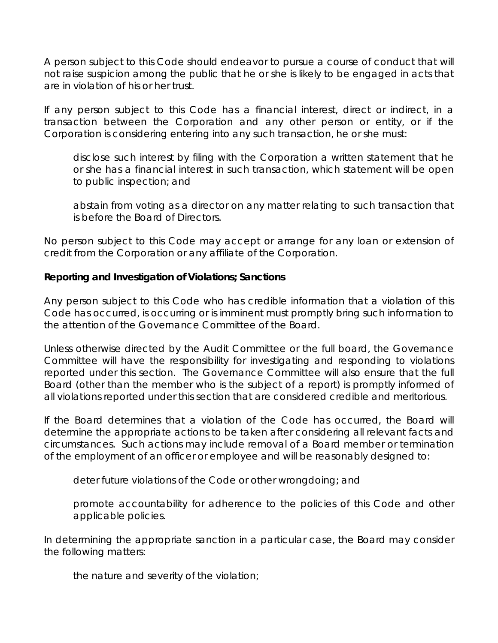A person subject to this Code should endeavor to pursue a course of conduct that will not raise suspicion among the public that he or she is likely to be engaged in acts that are in violation of his or her trust.

If any person subject to this Code has a financial interest, direct or indirect, in a transaction between the Corporation and any other person or entity, or if the Corporation is considering entering into any such transaction, he or she must:

disclose such interest by filing with the Corporation a written statement that he or she has a financial interest in such transaction, which statement will be open to public inspection; and

abstain from voting as a director on any matter relating to such transaction that is before the Board of Directors.

No person subject to this Code may accept or arrange for any loan or extension of credit from the Corporation or any affiliate of the Corporation.

### **Reporting and Investigation of Violations; Sanctions**

Any person subject to this Code who has credible information that a violation of this Code has occurred, is occurring or is imminent must promptly bring such information to the attention of the Governance Committee of the Board.

Unless otherwise directed by the Audit Committee or the full board, the Governance Committee will have the responsibility for investigating and responding to violations reported under this section. The Governance Committee will also ensure that the full Board (other than the member who is the subject of a report) is promptly informed of all violations reported under this section that are considered credible and meritorious.

If the Board determines that a violation of the Code has occurred, the Board will determine the appropriate actions to be taken after considering all relevant facts and circumstances. Such actions may include removal of a Board member or termination of the employment of an officer or employee and will be reasonably designed to:

deter future violations of the Code or other wrongdoing; and

promote accountability for adherence to the policies of this Code and other applicable policies.

In determining the appropriate sanction in a particular case, the Board may consider the following matters:

the nature and severity of the violation;